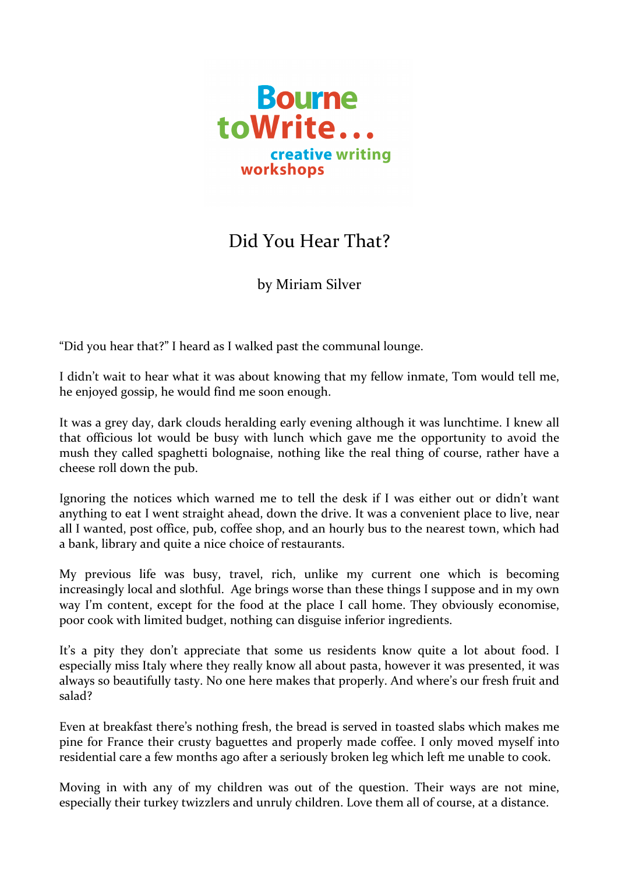

## Did You Hear That?

by Miriam Silver

"Did you hear that?" I heard as I walked past the communal lounge.

I didn't wait to hear what it was about knowing that my fellow inmate, Tom would tell me, he enjoyed gossip, he would find me soon enough.

It was a grey day, dark clouds heralding early evening although it was lunchtime. I knew all that officious lot would be busy with lunch which gave me the opportunity to avoid the mush they called spaghetti bolognaise, nothing like the real thing of course, rather have a cheese roll down the pub.

Ignoring the notices which warned me to tell the desk if I was either out or didn't want anything to eat I went straight ahead, down the drive. It was a convenient place to live, near all I wanted, post office, pub, coffee shop, and an hourly bus to the nearest town, which had a bank, library and quite a nice choice of restaurants.

My previous life was busy, travel, rich, unlike my current one which is becoming increasingly local and slothful. Age brings worse than these things I suppose and in my own way I'm content, except for the food at the place I call home. They obviously economise, poor cook with limited budget, nothing can disguise inferior ingredients.

It's a pity they don't appreciate that some us residents know quite a lot about food. I especially miss Italy where they really know all about pasta, however it was presented, it was always so beautifully tasty. No one here makes that properly. And where's our fresh fruit and salad?

Even at breakfast there's nothing fresh, the bread is served in toasted slabs which makes me pine for France their crusty baguettes and properly made coffee. I only moved myself into residential care a few months ago after a seriously broken leg which left me unable to cook. 

Moving in with any of my children was out of the question. Their ways are not mine, especially their turkey twizzlers and unruly children. Love them all of course, at a distance.